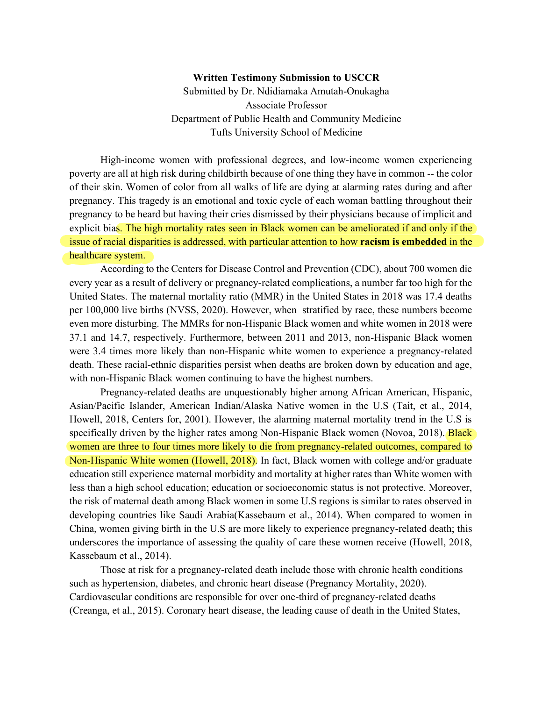## **Written Testimony Submission to USCCR**

Submitted by Dr. Ndidiamaka Amutah-Onukagha Associate Professor Department of Public Health and Community Medicine Tufts University School of Medicine

High-income women with professional degrees, and low-income women experiencing poverty are all at high risk during childbirth because of one thing they have in common -- the color of their skin. Women of color from all walks of life are dying at alarming rates during and after pregnancy. This tragedy is an emotional and toxic cycle of each woman battling throughout their pregnancy to be heard but having their cries dismissed by their physicians because of implicit and explicit bias. The high mortality rates seen in Black women can be ameliorated if and only if the issue of racial disparities is addressed, with particular attention to how **racism is embedded** in the healthcare system.

According to the Centers for Disease Control and Prevention (CDC), about 700 women die every year as a result of delivery or pregnancy-related complications, a number far too high for the United States. The maternal mortality ratio (MMR) in the United States in 2018 was 17.4 deaths per 100,000 live births (NVSS, 2020). However, when stratified by race, these numbers become even more disturbing. The MMRs for non-Hispanic Black women and white women in 2018 were 37.1 and 14.7, respectively. Furthermore, between 2011 and 2013, non-Hispanic Black women were 3.4 times more likely than non-Hispanic white women to experience a pregnancy-related death. These racial-ethnic disparities persist when deaths are broken down by education and age, with non-Hispanic Black women continuing to have the highest numbers.

Pregnancy-related deaths are unquestionably higher among African American, Hispanic, Asian/Pacific Islander, American Indian/Alaska Native women in the U.S (Tait, et al., 2014, Howell, 2018, Centers for, 2001). However, the alarming maternal mortality trend in the U.S is specifically driven by the higher rates among Non-Hispanic Black women (Novoa, 2018). **Black** women are three to four times more likely to die from pregnancy-related outcomes, compared to Non-Hispanic White women (Howell, 2018). In fact, Black women with college and/or graduate education still experience maternal morbidity and mortality at higher rates than White women with less than a high school education; education or socioeconomic status is not protective. Moreover, the risk of maternal death among Black women in some U.S regions is similar to rates observed in developing countries like Saudi Arabia(Kassebaum et al., 2014). When compared to women in China, women giving birth in the U.S are more likely to experience pregnancy-related death; this underscores the importance of assessing the quality of care these women receive (Howell, 2018, Kassebaum et al., 2014).

Those at risk for a pregnancy-related death include those with chronic health conditions such as hypertension, diabetes, and chronic heart disease (Pregnancy Mortality, 2020). Cardiovascular conditions are responsible for over one-third of pregnancy-related deaths (Creanga, et al., 2015). Coronary heart disease, the leading cause of death in the United States,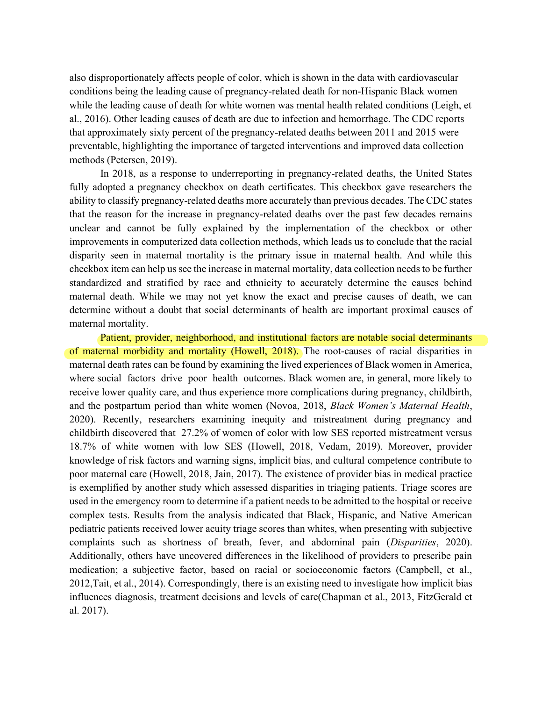also disproportionately affects people of color, which is shown in the data with cardiovascular conditions being the leading cause of pregnancy-related death for non-Hispanic Black women while the leading cause of death for white women was mental health related conditions (Leigh, et al., 2016). Other leading causes of death are due to infection and hemorrhage. The CDC reports that approximately sixty percent of the pregnancy-related deaths between 2011 and 2015 were preventable, highlighting the importance of targeted interventions and improved data collection methods (Petersen, 2019).

In 2018, as a response to underreporting in pregnancy-related deaths, the United States fully adopted a pregnancy checkbox on death certificates. This checkbox gave researchers the ability to classify pregnancy-related deaths more accurately than previous decades. The CDC states that the reason for the increase in pregnancy-related deaths over the past few decades remains unclear and cannot be fully explained by the implementation of the checkbox or other improvements in computerized data collection methods, which leads us to conclude that the racial disparity seen in maternal mortality is the primary issue in maternal health. And while this checkbox item can help us see the increase in maternal mortality, data collection needs to be further standardized and stratified by race and ethnicity to accurately determine the causes behind maternal death. While we may not yet know the exact and precise causes of death, we can determine without a doubt that social determinants of health are important proximal causes of maternal mortality.

Patient, provider, neighborhood, and institutional factors are notable social determinants of maternal morbidity and mortality (Howell, 2018). The root-causes of racial disparities in maternal death rates can be found by examining the lived experiences of Black women in America, where social factors drive poor health outcomes. Black women are, in general, more likely to receive lower quality care, and thus experience more complications during pregnancy, childbirth, and the postpartum period than white women (Novoa, 2018, *Black Women's Maternal Health*, 2020). Recently, researchers examining inequity and mistreatment during pregnancy and childbirth discovered that 27.2% of women of color with low SES reported mistreatment versus 18.7% of white women with low SES (Howell, 2018, Vedam, 2019). Moreover, provider knowledge of risk factors and warning signs, implicit bias, and cultural competence contribute to poor maternal care (Howell, 2018, Jain, 2017). The existence of provider bias in medical practice is exemplified by another study which assessed disparities in triaging patients. Triage scores are used in the emergency room to determine if a patient needs to be admitted to the hospital or receive complex tests. Results from the analysis indicated that Black, Hispanic, and Native American pediatric patients received lower acuity triage scores than whites, when presenting with subjective complaints such as shortness of breath, fever, and abdominal pain (*Disparities*, 2020). Additionally, others have uncovered differences in the likelihood of providers to prescribe pain medication; a subjective factor, based on racial or socioeconomic factors (Campbell, et al., 2012,Tait, et al., 2014). Correspondingly, there is an existing need to investigate how implicit bias influences diagnosis, treatment decisions and levels of care(Chapman et al., 2013, FitzGerald et al. 2017).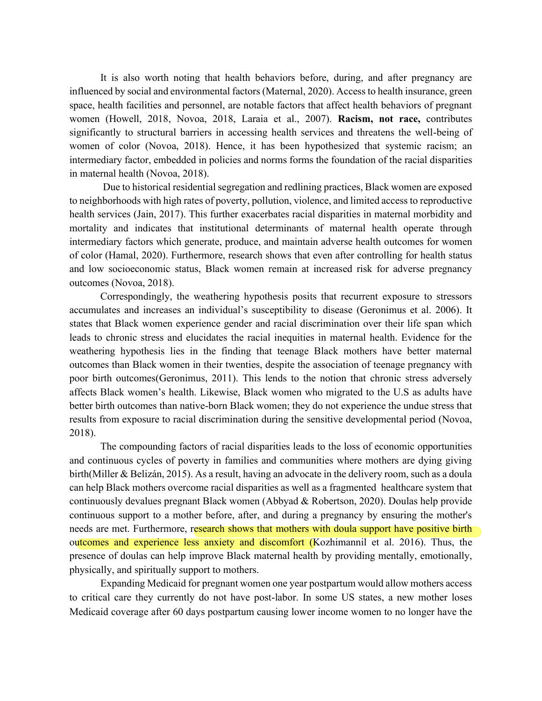It is also worth noting that health behaviors before, during, and after pregnancy are influenced by social and environmental factors (Maternal, 2020). Access to health insurance, green space, health facilities and personnel, are notable factors that affect health behaviors of pregnant women (Howell, 2018, Novoa, 2018, Laraia et al., 2007). **Racism, not race,** contributes significantly to structural barriers in accessing health services and threatens the well-being of women of color (Novoa, 2018). Hence, it has been hypothesized that systemic racism; an intermediary factor, embedded in policies and norms forms the foundation of the racial disparities in maternal health (Novoa, 2018).

Due to historical residential segregation and redlining practices, Black women are exposed to neighborhoods with high rates of poverty, pollution, violence, and limited access to reproductive health services (Jain, 2017). This further exacerbates racial disparities in maternal morbidity and mortality and indicates that institutional determinants of maternal health operate through intermediary factors which generate, produce, and maintain adverse health outcomes for women of color (Hamal, 2020). Furthermore, research shows that even after controlling for health status and low socioeconomic status, Black women remain at increased risk for adverse pregnancy outcomes (Novoa, 2018).

Correspondingly, the weathering hypothesis posits that recurrent exposure to stressors accumulates and increases an individual's susceptibility to disease (Geronimus et al. 2006). It states that Black women experience gender and racial discrimination over their life span which leads to chronic stress and elucidates the racial inequities in maternal health. Evidence for the weathering hypothesis lies in the finding that teenage Black mothers have better maternal outcomes than Black women in their twenties, despite the association of teenage pregnancy with poor birth outcomes(Geronimus, 2011). This lends to the notion that chronic stress adversely affects Black women's health. Likewise, Black women who migrated to the U.S as adults have better birth outcomes than native-born Black women; they do not experience the undue stress that results from exposure to racial discrimination during the sensitive developmental period (Novoa, 2018).

The compounding factors of racial disparities leads to the loss of economic opportunities and continuous cycles of poverty in families and communities where mothers are dying giving birth(Miller & Belizán, 2015). As a result, having an advocate in the delivery room, such as a doula can help Black mothers overcome racial disparities as well as a fragmented healthcare system that continuously devalues pregnant Black women (Abbyad & Robertson, 2020). Doulas help provide continuous support to a mother before, after, and during a pregnancy by ensuring the mother's needs are met. Furthermore, research shows that mothers with doula support have positive birth outcomes and experience less anxiety and discomfort (Kozhimannil et al. 2016). Thus, the presence of doulas can help improve Black maternal health by providing mentally, emotionally, physically, and spiritually support to mothers.

Expanding Medicaid for pregnant women one year postpartum would allow mothers access to critical care they currently do not have post-labor. In some US states, a new mother loses Medicaid coverage after 60 days postpartum causing lower income women to no longer have the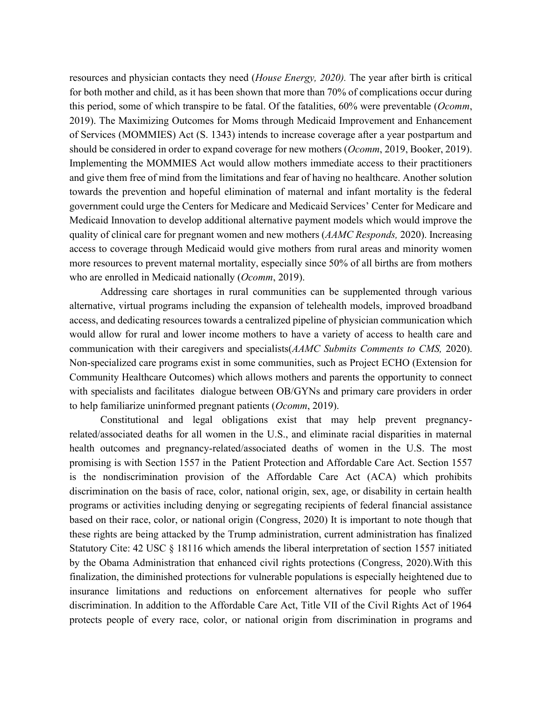resources and physician contacts they need (*House Energy, 2020).* The year after birth is critical for both mother and child, as it has been shown that more than 70% of complications occur during this period, some of which transpire to be fatal. Of the fatalities, 60% were preventable (*Ocomm*, 2019). The Maximizing Outcomes for Moms through Medicaid Improvement and Enhancement of Services (MOMMIES) Act (S. 1343) intends to increase coverage after a year postpartum and should be considered in order to expand coverage for new mothers (*Ocomm*, 2019, Booker, 2019). Implementing the MOMMIES Act would allow mothers immediate access to their practitioners and give them free of mind from the limitations and fear of having no healthcare. Another solution towards the prevention and hopeful elimination of maternal and infant mortality is the federal government could urge the Centers for Medicare and Medicaid Services' Center for Medicare and Medicaid Innovation to develop additional alternative payment models which would improve the quality of clinical care for pregnant women and new mothers (*AAMC Responds,* 2020). Increasing access to coverage through Medicaid would give mothers from rural areas and minority women more resources to prevent maternal mortality, especially since 50% of all births are from mothers who are enrolled in Medicaid nationally (*Ocomm*, 2019).

Addressing care shortages in rural communities can be supplemented through various alternative, virtual programs including the expansion of telehealth models, improved broadband access, and dedicating resources towards a centralized pipeline of physician communication which would allow for rural and lower income mothers to have a variety of access to health care and communication with their caregivers and specialists(*AAMC Submits Comments to CMS,* 2020). Non-specialized care programs exist in some communities, such as Project ECHO (Extension for Community Healthcare Outcomes) which allows mothers and parents the opportunity to connect with specialists and facilitates dialogue between OB/GYNs and primary care providers in order to help familiarize uninformed pregnant patients (*Ocomm*, 2019).

Constitutional and legal obligations exist that may help prevent pregnancyrelated/associated deaths for all women in the U.S., and eliminate racial disparities in maternal health outcomes and pregnancy-related/associated deaths of women in the U.S. The most promising is with Section 1557 in the Patient Protection and Affordable Care Act. Section 1557 is the nondiscrimination provision of the Affordable Care Act (ACA) which prohibits discrimination on the basis of race, color, national origin, sex, age, or disability in certain health programs or activities including denying or segregating recipients of federal financial assistance based on their race, color, or national origin (Congress, 2020) It is important to note though that these rights are being attacked by the Trump administration, current administration has finalized Statutory Cite: 42 USC § 18116 which amends the liberal interpretation of section 1557 initiated by the Obama Administration that enhanced civil rights protections (Congress, 2020).With this finalization, the diminished protections for vulnerable populations is especially heightened due to insurance limitations and reductions on enforcement alternatives for people who suffer discrimination. In addition to the Affordable Care Act, Title VII of the Civil Rights Act of 1964 protects people of every race, color, or national origin from discrimination in programs and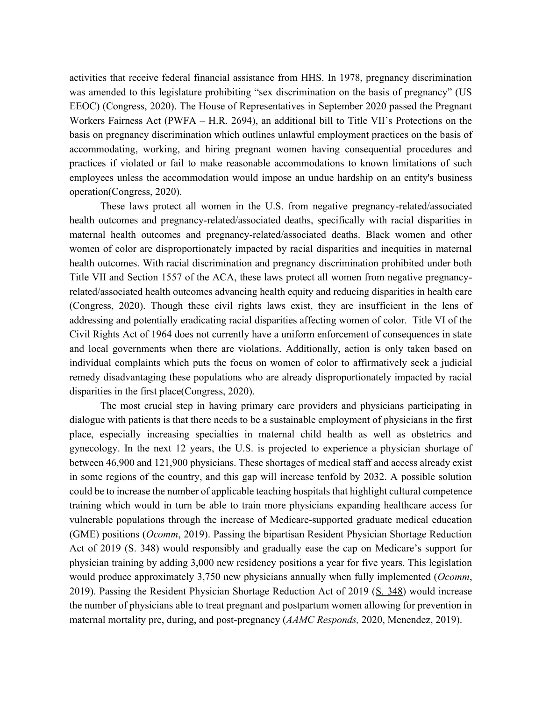activities that receive federal financial assistance from HHS. In 1978, pregnancy discrimination was amended to this legislature prohibiting "sex discrimination on the basis of pregnancy" (US EEOC) (Congress, 2020). The House of Representatives in September 2020 passed the Pregnant Workers Fairness Act (PWFA – H.R. 2694), an additional bill to Title VII's Protections on the basis on pregnancy discrimination which outlines unlawful employment practices on the basis of accommodating, working, and hiring pregnant women having consequential procedures and practices if violated or fail to make reasonable accommodations to known limitations of such employees unless the accommodation would impose an undue hardship on an entity's business operation(Congress, 2020).

These laws protect all women in the U.S. from negative pregnancy-related/associated health outcomes and pregnancy-related/associated deaths, specifically with racial disparities in maternal health outcomes and pregnancy-related/associated deaths. Black women and other women of color are disproportionately impacted by racial disparities and inequities in maternal health outcomes. With racial discrimination and pregnancy discrimination prohibited under both Title VII and Section 1557 of the ACA, these laws protect all women from negative pregnancyrelated/associated health outcomes advancing health equity and reducing disparities in health care (Congress, 2020). Though these civil rights laws exist, they are insufficient in the lens of addressing and potentially eradicating racial disparities affecting women of color. Title VI of the Civil Rights Act of 1964 does not currently have a uniform enforcement of consequences in state and local governments when there are violations. Additionally, action is only taken based on individual complaints which puts the focus on women of color to affirmatively seek a judicial remedy disadvantaging these populations who are already disproportionately impacted by racial disparities in the first place(Congress, 2020).

The most crucial step in having primary care providers and physicians participating in dialogue with patients is that there needs to be a sustainable employment of physicians in the first place, especially increasing specialties in maternal child health as well as obstetrics and gynecology. In the next 12 years, the U.S. is projected to experience a physician shortage of between 46,900 and 121,900 physicians. These shortages of medical staff and access already exist in some regions of the country, and this gap will increase tenfold by 2032. A possible solution could be to increase the number of applicable teaching hospitals that highlight cultural competence training which would in turn be able to train more physicians expanding healthcare access for vulnerable populations through the increase of Medicare-supported graduate medical education (GME) positions (*Ocomm*, 2019). Passing the bipartisan Resident Physician Shortage Reduction Act of 2019 (S. 348) would responsibly and gradually ease the cap on Medicare's support for physician training by adding 3,000 new residency positions a year for five years. This legislation would produce approximately 3,750 new physicians annually when fully implemented (*Ocomm*, 2019). Passing the Resident Physician Shortage Reduction Act of 2019 (S. 348) would increase the number of physicians able to treat pregnant and postpartum women allowing for prevention in maternal mortality pre, during, and post-pregnancy (*AAMC Responds,* 2020, Menendez, 2019).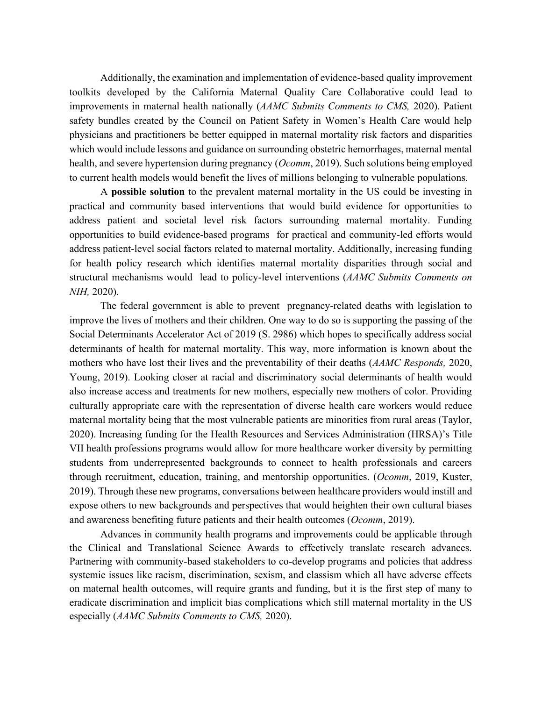Additionally, the examination and implementation of evidence-based quality improvement toolkits developed by the California Maternal Quality Care Collaborative could lead to improvements in maternal health nationally (*AAMC Submits Comments to CMS,* 2020). Patient safety bundles created by the Council on Patient Safety in Women's Health Care would help physicians and practitioners be better equipped in maternal mortality risk factors and disparities which would include lessons and guidance on surrounding obstetric hemorrhages, maternal mental health, and severe hypertension during pregnancy (*Ocomm*, 2019). Such solutions being employed to current health models would benefit the lives of millions belonging to vulnerable populations.

A **possible solution** to the prevalent maternal mortality in the US could be investing in practical and community based interventions that would build evidence for opportunities to address patient and societal level risk factors surrounding maternal mortality. Funding opportunities to build evidence-based programs for practical and community-led efforts would address patient-level social factors related to maternal mortality. Additionally, increasing funding for health policy research which identifies maternal mortality disparities through social and structural mechanisms would lead to policy-level interventions (*AAMC Submits Comments on NIH,* 2020).

The federal government is able to prevent pregnancy-related deaths with legislation to improve the lives of mothers and their children. One way to do so is supporting the passing of the Social Determinants Accelerator Act of 2019 (S. 2986) which hopes to specifically address social determinants of health for maternal mortality. This way, more information is known about the mothers who have lost their lives and the preventability of their deaths (*AAMC Responds,* 2020, Young, 2019). Looking closer at racial and discriminatory social determinants of health would also increase access and treatments for new mothers, especially new mothers of color. Providing culturally appropriate care with the representation of diverse health care workers would reduce maternal mortality being that the most vulnerable patients are minorities from rural areas (Taylor, 2020). Increasing funding for the Health Resources and Services Administration (HRSA)'s Title VII health professions programs would allow for more healthcare worker diversity by permitting students from underrepresented backgrounds to connect to health professionals and careers through recruitment, education, training, and mentorship opportunities. (*Ocomm*, 2019, Kuster, 2019). Through these new programs, conversations between healthcare providers would instill and expose others to new backgrounds and perspectives that would heighten their own cultural biases and awareness benefiting future patients and their health outcomes (*Ocomm*, 2019).

Advances in community health programs and improvements could be applicable through the Clinical and Translational Science Awards to effectively translate research advances. Partnering with community-based stakeholders to co-develop programs and policies that address systemic issues like racism, discrimination, sexism, and classism which all have adverse effects on maternal health outcomes, will require grants and funding, but it is the first step of many to eradicate discrimination and implicit bias complications which still maternal mortality in the US especially (*AAMC Submits Comments to CMS,* 2020).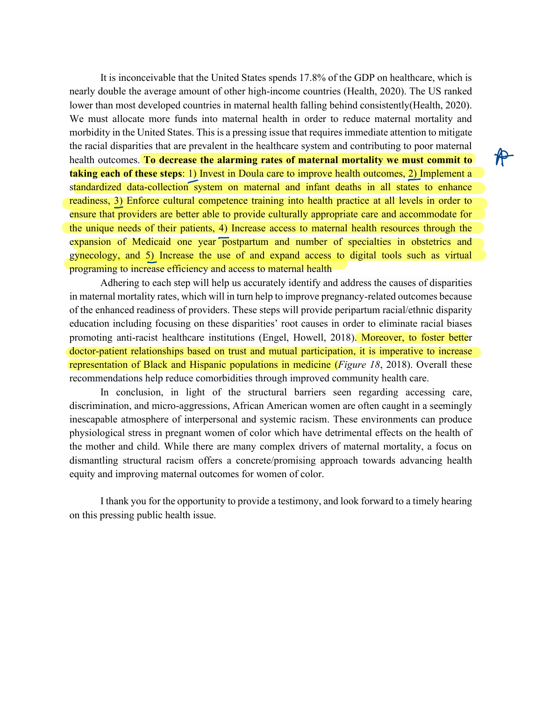It is inconceivable that the United States spends 17.8% of the GDP on healthcare, which is nearly double the average amount of other high-income countries (Health, 2020). The US ranked lower than most developed countries in maternal health falling behind consistently(Health, 2020). We must allocate more funds into maternal health in order to reduce maternal mortality and morbidity in the United States. This is a pressing issue that requires immediate attention to mitigate the racial disparities that are prevalent in the healthcare system and contributing to poor maternal health outcomes. **To decrease the alarming rates of maternal mortality we must commit to taking each of these steps**: 1) Invest in Doula care to improve health outcomes, 2) Implement a standardized data-collection system on maternal and infant deaths in all states to enhance readiness, 3) Enforce cultural competence training into health practice at all levels in order to ensure that providers are better able to provide culturally appropriate care and accommodate for the unique needs of their patients, 4) Increase access to maternal health resources through the<br>expansion of Medicaid one year postpartum and number of specialties in obstetrics and expansion of Medicaid one year postpartum and number of specialties in obstetrics and gynecology, and 5) Increase the use of and expand access to digital tools such as virtual programing to increase efficiency and access to maternal health 1) Invest in Doula care to improve health outcomes, 2)

Adhering to each step will help us accurately identify and address the causes of disparities in maternal mortality rates, which will in turn help to improve pregnancy-related outcomes because of the enhanced readiness of providers. These steps will provide peripartum racial/ethnic disparity education including focusing on these disparities' root causes in order to eliminate racial biases promoting anti-racist healthcare institutions (Engel, Howell, 2018). Moreover, to foster better doctor-patient relationships based on trust and mutual participation, it is imperative to increase representation of Black and Hispanic populations in medicine (*Figure 18*, 2018). Overall these recommendations help reduce comorbidities through improved community health care.

In conclusion, in light of the structural barriers seen regarding accessing care, discrimination, and micro-aggressions, African American women are often caught in a seemingly inescapable atmosphere of interpersonal and systemic racism. These environments can produce physiological stress in pregnant women of color which have detrimental effects on the health of the mother and child. While there are many complex drivers of maternal mortality, a focus on dismantling structural racism offers a concrete/promising approach towards advancing health equity and improving maternal outcomes for women of color.

I thank you for the opportunity to provide a testimony, and look forward to a timely hearing on this pressing public health issue.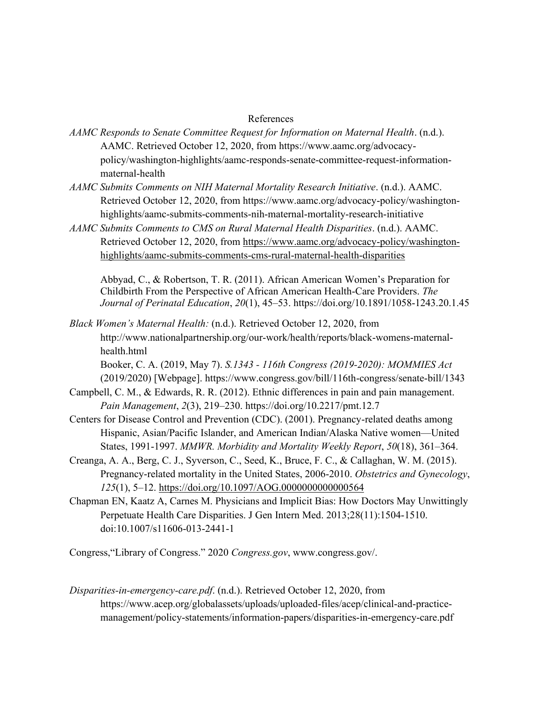## References

- *AAMC Responds to Senate Committee Request for Information on Maternal Health*. (n.d.). AAMC. Retrieved October 12, 2020, from https://www.aamc.org/advocacypolicy/washington-highlights/aamc-responds-senate-committee-request-informationmaternal-health
- *AAMC Submits Comments on NIH Maternal Mortality Research Initiative*. (n.d.). AAMC. Retrieved October 12, 2020, from https://www.aamc.org/advocacy-policy/washingtonhighlights/aamc-submits-comments-nih-maternal-mortality-research-initiative
- *AAMC Submits Comments to CMS on Rural Maternal Health Disparities*. (n.d.). AAMC. Retrieved October 12, 2020, from https://www.aamc.org/advocacy-policy/washingtonhighlights/aamc-submits-comments-cms-rural-maternal-health-disparities

Abbyad, C., & Robertson, T. R. (2011). African American Women's Preparation for Childbirth From the Perspective of African American Health-Care Providers. *The Journal of Perinatal Education*, *20*(1), 45–53. https://doi.org/10.1891/1058-1243.20.1.45

*Black Women's Maternal Health:* (n.d.). Retrieved October 12, 2020, from http://www.nationalpartnership.org/our-work/health/reports/black-womens-maternalhealth.html

Booker, C. A. (2019, May 7). *S.1343 - 116th Congress (2019-2020): MOMMIES Act* (2019/2020) [Webpage]. https://www.congress.gov/bill/116th-congress/senate-bill/1343

- Campbell, C. M., & Edwards, R. R. (2012). Ethnic differences in pain and pain management. *Pain Management*, *2*(3), 219–230. https://doi.org/10.2217/pmt.12.7
- Centers for Disease Control and Prevention (CDC). (2001). Pregnancy-related deaths among Hispanic, Asian/Pacific Islander, and American Indian/Alaska Native women—United States, 1991-1997. *MMWR. Morbidity and Mortality Weekly Report*, *50*(18), 361–364.
- Creanga, A. A., Berg, C. J., Syverson, C., Seed, K., Bruce, F. C., & Callaghan, W. M. (2015). Pregnancy-related mortality in the United States, 2006-2010. *Obstetrics and Gynecology*, *125*(1), 5–12. https://doi.org/10.1097/AOG.0000000000000564
- Chapman EN, Kaatz A, Carnes M. Physicians and Implicit Bias: How Doctors May Unwittingly Perpetuate Health Care Disparities. J Gen Intern Med. 2013;28(11):1504-1510. doi:10.1007/s11606-013-2441-1

Congress,"Library of Congress." 2020 *Congress.gov*, www.congress.gov/.

*Disparities-in-emergency-care.pdf*. (n.d.). Retrieved October 12, 2020, from https://www.acep.org/globalassets/uploads/uploaded-files/acep/clinical-and-practicemanagement/policy-statements/information-papers/disparities-in-emergency-care.pdf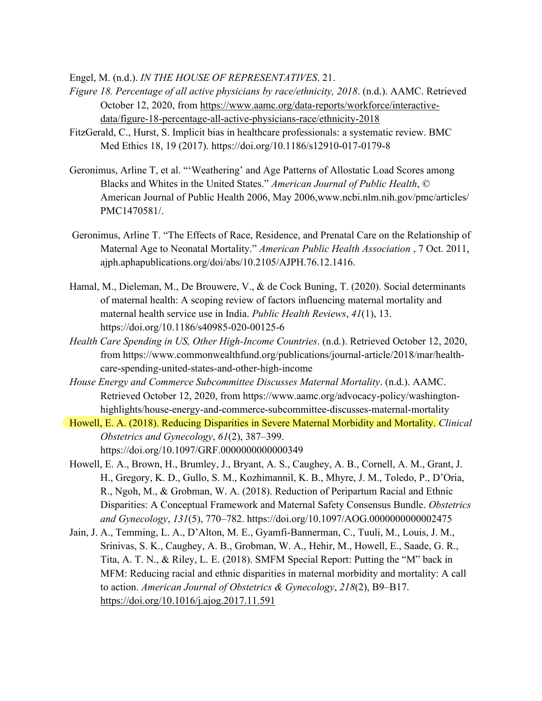Engel, M. (n.d.). *IN THE HOUSE OF REPRESENTATIVES*. 21.

- *Figure 18. Percentage of all active physicians by race/ethnicity, 2018*. (n.d.). AAMC. Retrieved October 12, 2020, from https://www.aamc.org/data-reports/workforce/interactivedata/figure-18-percentage-all-active-physicians-race/ethnicity-2018
- FitzGerald, C., Hurst, S. Implicit bias in healthcare professionals: a systematic review. BMC Med Ethics 18, 19 (2017). https://doi.org/10.1186/s12910-017-0179-8
- Geronimus, Arline T, et al. "'Weathering' and Age Patterns of Allostatic Load Scores among Blacks and Whites in the United States." *American Journal of Public Health*, © American Journal of Public Health 2006, May 2006,www.ncbi.nlm.nih.gov/pmc/articles/ PMC1470581/.
- Geronimus, Arline T. "The Effects of Race, Residence, and Prenatal Care on the Relationship of Maternal Age to Neonatal Mortality." *American Public Health Association* , 7 Oct. 2011, ajph.aphapublications.org/doi/abs/10.2105/AJPH.76.12.1416.
- Hamal, M., Dieleman, M., De Brouwere, V., & de Cock Buning, T. (2020). Social determinants of maternal health: A scoping review of factors influencing maternal mortality and maternal health service use in India. *Public Health Reviews*, *41*(1), 13. https://doi.org/10.1186/s40985-020-00125-6
- *Health Care Spending in US, Other High-Income Countries*. (n.d.). Retrieved October 12, 2020, from https://www.commonwealthfund.org/publications/journal-article/2018/mar/healthcare-spending-united-states-and-other-high-income
- *House Energy and Commerce Subcommittee Discusses Maternal Mortality*. (n.d.). AAMC. Retrieved October 12, 2020, from https://www.aamc.org/advocacy-policy/washingtonhighlights/house-energy-and-commerce-subcommittee-discusses-maternal-mortality
- Howell, E. A. (2018). Reducing Disparities in Severe Maternal Morbidity and Mortality. *Clinical Obstetrics and Gynecology*, *61*(2), 387–399. https://doi.org/10.1097/GRF.0000000000000349
- Howell, E. A., Brown, H., Brumley, J., Bryant, A. S., Caughey, A. B., Cornell, A. M., Grant, J. H., Gregory, K. D., Gullo, S. M., Kozhimannil, K. B., Mhyre, J. M., Toledo, P., D'Oria, R., Ngoh, M., & Grobman, W. A. (2018). Reduction of Peripartum Racial and Ethnic Disparities: A Conceptual Framework and Maternal Safety Consensus Bundle. *Obstetrics and Gynecology*, *131*(5), 770–782. https://doi.org/10.1097/AOG.0000000000002475
- Jain, J. A., Temming, L. A., D'Alton, M. E., Gyamfi-Bannerman, C., Tuuli, M., Louis, J. M., Srinivas, S. K., Caughey, A. B., Grobman, W. A., Hehir, M., Howell, E., Saade, G. R., Tita, A. T. N., & Riley, L. E. (2018). SMFM Special Report: Putting the "M" back in MFM: Reducing racial and ethnic disparities in maternal morbidity and mortality: A call to action. *American Journal of Obstetrics & Gynecology*, *218*(2), B9–B17. https://doi.org/10.1016/j.ajog.2017.11.591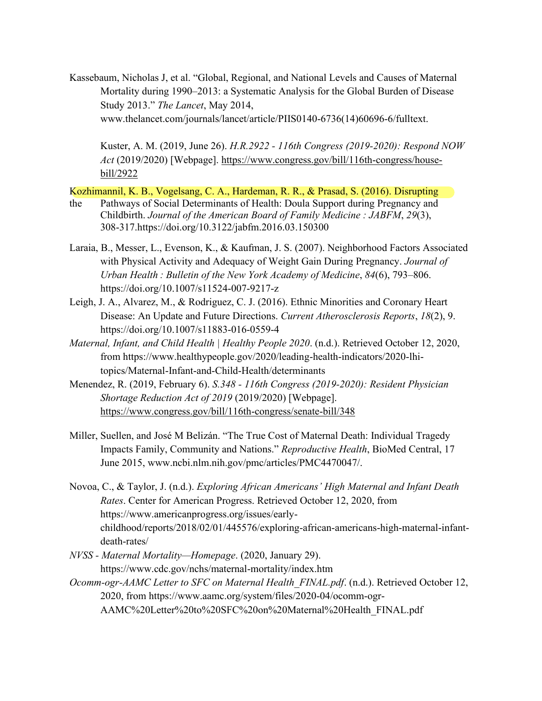Kassebaum, Nicholas J, et al. "Global, Regional, and National Levels and Causes of Maternal Mortality during 1990–2013: a Systematic Analysis for the Global Burden of Disease Study 2013." *The Lancet*, May 2014, www.thelancet.com/journals/lancet/article/PIIS0140-6736(14)60696-6/fulltext.

Kuster, A. M. (2019, June 26). *H.R.2922 - 116th Congress (2019-2020): Respond NOW Act* (2019/2020) [Webpage]. https://www.congress.gov/bill/116th-congress/housebill/2922

Kozhimannil, K. B., Vogelsang, C. A., Hardeman, R. R., & Prasad, S. (2016). Disrupting

- the Pathways of Social Determinants of Health: Doula Support during Pregnancy and Childbirth. *Journal of the American Board of Family Medicine : JABFM*, *29*(3), 308-317.https://doi.org/10.3122/jabfm.2016.03.150300
- Laraia, B., Messer, L., Evenson, K., & Kaufman, J. S. (2007). Neighborhood Factors Associated with Physical Activity and Adequacy of Weight Gain During Pregnancy. *Journal of Urban Health : Bulletin of the New York Academy of Medicine*, *84*(6), 793–806. https://doi.org/10.1007/s11524-007-9217-z
- Leigh, J. A., Alvarez, M., & Rodriguez, C. J. (2016). Ethnic Minorities and Coronary Heart Disease: An Update and Future Directions. *Current Atherosclerosis Reports*, *18*(2), 9. https://doi.org/10.1007/s11883-016-0559-4
- *Maternal, Infant, and Child Health | Healthy People 2020*. (n.d.). Retrieved October 12, 2020, from https://www.healthypeople.gov/2020/leading-health-indicators/2020-lhitopics/Maternal-Infant-and-Child-Health/determinants
- Menendez, R. (2019, February 6). *S.348 - 116th Congress (2019-2020): Resident Physician Shortage Reduction Act of 2019* (2019/2020) [Webpage]. https://www.congress.gov/bill/116th-congress/senate-bill/348
- Miller, Suellen, and José M Belizán. "The True Cost of Maternal Death: Individual Tragedy Impacts Family, Community and Nations." *Reproductive Health*, BioMed Central, 17 June 2015, www.ncbi.nlm.nih.gov/pmc/articles/PMC4470047/.
- Novoa, C., & Taylor, J. (n.d.). *Exploring African Americans' High Maternal and Infant Death Rates*. Center for American Progress. Retrieved October 12, 2020, from https://www.americanprogress.org/issues/earlychildhood/reports/2018/02/01/445576/exploring-african-americans-high-maternal-infantdeath-rates/
- *NVSS - Maternal Mortality—Homepage*. (2020, January 29). https://www.cdc.gov/nchs/maternal-mortality/index.htm *Ocomm-ogr-AAMC Letter to SFC on Maternal Health\_FINAL.pdf*. (n.d.). Retrieved October 12, 2020, from https://www.aamc.org/system/files/2020-04/ocomm-ogr-

AAMC%20Letter%20to%20SFC%20on%20Maternal%20Health\_FINAL.pdf